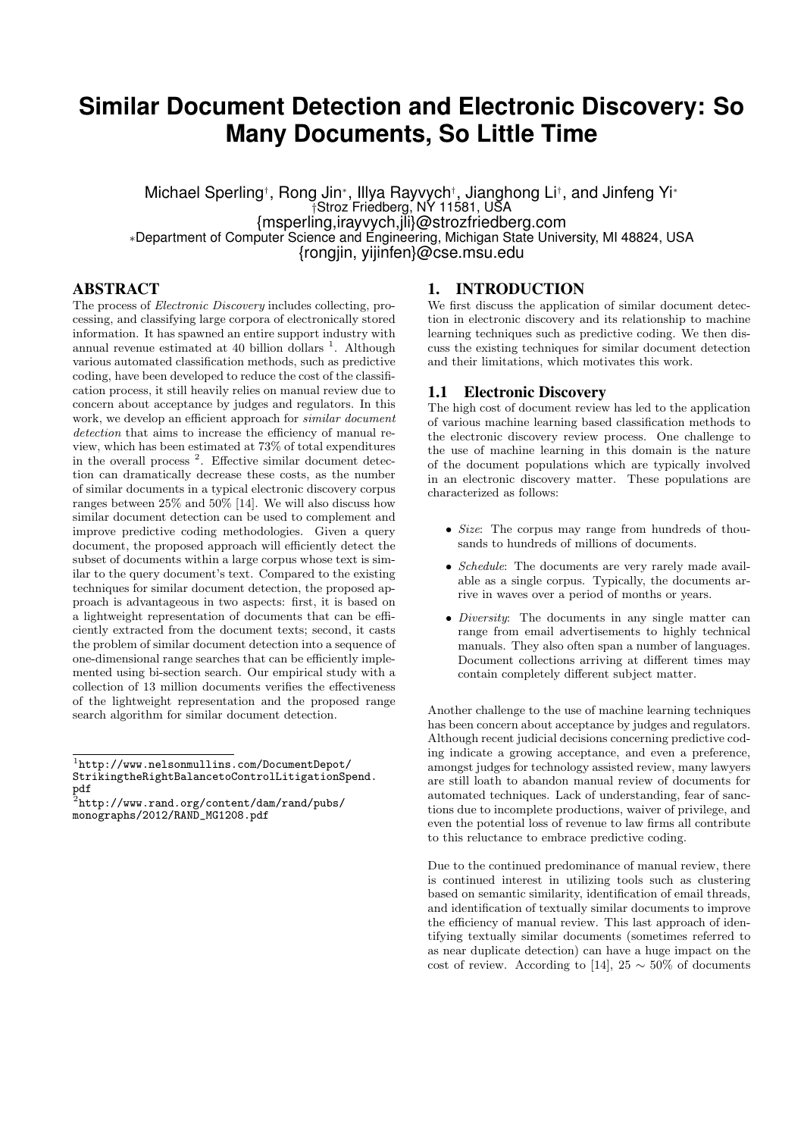# **Similar Document Detection and Electronic Discovery: So Many Documents, So Little Time**

Michael Sperling*†* , Rong Jin*<sup>∗</sup>* , Illya Rayvych*†* , Jianghong Li*†* , and Jinfeng Yi*<sup>∗</sup> †*Stroz Friedberg, NY 11581, USA {msperling,irayvych,jli}@strozfriedberg.com *∗*Department of Computer Science and Engineering, Michigan State University, MI 48824, USA {rongjin, yijinfen}@cse.msu.edu

## ABSTRACT

The process of *Electronic Discovery* includes collecting, processing, and classifying large corpora of electronically stored information. It has spawned an entire support industry with annual revenue estimated at 40 billion dollars<sup>1</sup>. Although various automated classification methods, such as predictive coding, have been developed to reduce the cost of the classification process, it still heavily relies on manual review due to concern about acceptance by judges and regulators. In this work, we develop an efficient approach for *similar document detection* that aims to increase the efficiency of manual review, which has been estimated at 73% of total expenditures in the overall process<sup>2</sup>. Effective similar document detection can dramatically decrease these costs, as the number of similar documents in a typical electronic discovery corpus ranges between 25% and 50% [14]. We will also discuss how similar document detection can be used to complement and improve predictive coding methodologies. Given a query document, the proposed approach will efficiently detect the subset of documents within a large corpus whose text is similar to the query document's text. Compared to the existing techniques for similar document detection, the proposed approach is advantageous in two aspects: first, it is based on a lightweight representation of documents that can be efficiently extracted from the document texts; second, it casts the problem of similar document detection into a sequence of one-dimensional range searches that can be efficiently implemented using bi-section search. Our empirical study with a collection of 13 million documents verifies the effectiveness of the lightweight representation and the proposed range search algorithm for similar document detection.

## 1. INTRODUCTION

We first discuss the application of similar document detection in electronic discovery and its relationship to machine learning techniques such as predictive coding. We then discuss the existing techniques for similar document detection and their limitations, which motivates this work.

#### 1.1 Electronic Discovery

The high cost of document review has led to the application of various machine learning based classification methods to the electronic discovery review process. One challenge to the use of machine learning in this domain is the nature of the document populations which are typically involved in an electronic discovery matter. These populations are characterized as follows:

- *• Size*: The corpus may range from hundreds of thousands to hundreds of millions of documents.
- *• Schedule*: The documents are very rarely made available as a single corpus. Typically, the documents arrive in waves over a period of months or years.
- *Diversity*: The documents in any single matter can range from email advertisements to highly technical manuals. They also often span a number of languages. Document collections arriving at different times may contain completely different subject matter.

Another challenge to the use of machine learning techniques has been concern about acceptance by judges and regulators. Although recent judicial decisions concerning predictive coding indicate a growing acceptance, and even a preference, amongst judges for technology assisted review, many lawyers are still loath to abandon manual review of documents for automated techniques. Lack of understanding, fear of sanctions due to incomplete productions, waiver of privilege, and even the potential loss of revenue to law firms all contribute to this reluctance to embrace predictive coding.

Due to the continued predominance of manual review, there is continued interest in utilizing tools such as clustering based on semantic similarity, identification of email threads, and identification of textually similar documents to improve the efficiency of manual review. This last approach of identifying textually similar documents (sometimes referred to as near duplicate detection) can have a huge impact on the cost of review. According to [14],  $25 \sim 50\%$  of documents

<sup>1</sup> http://www.nelsonmullins.com/DocumentDepot/ StrikingtheRightBalancetoControlLitigationSpend.

pdf 2 http://www.rand.org/content/dam/rand/pubs/ monographs/2012/RAND\_MG1208.pdf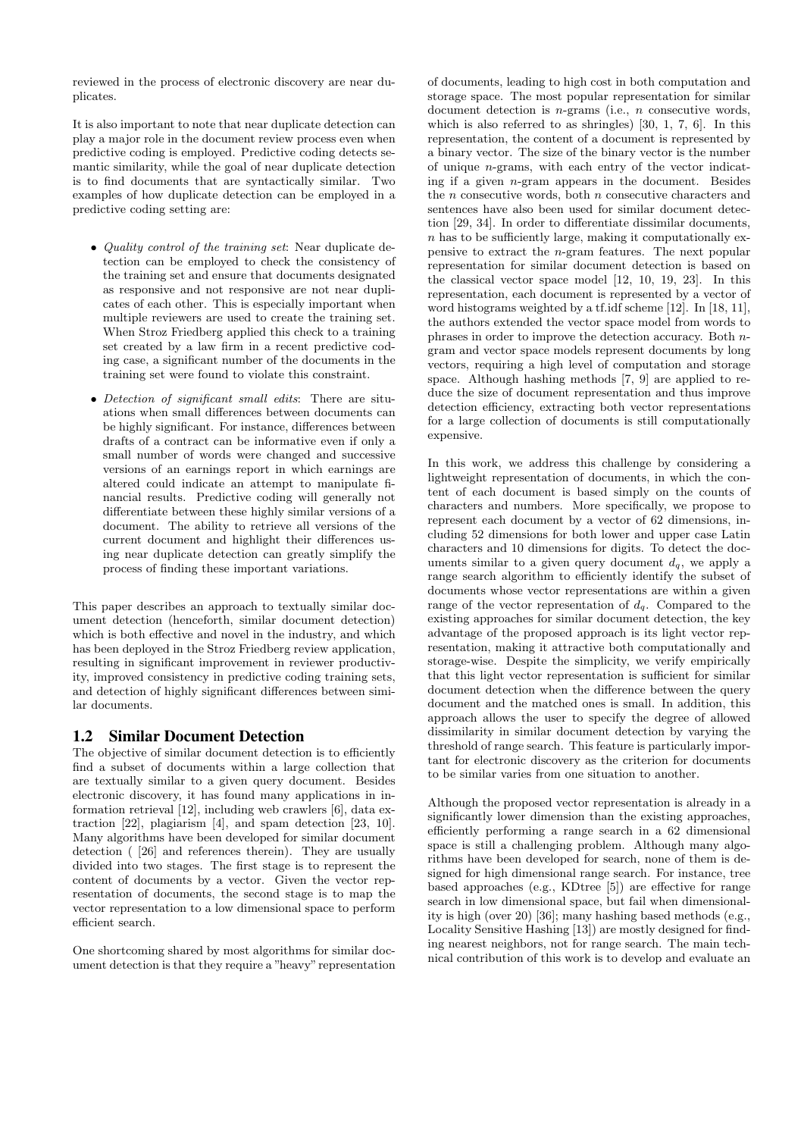reviewed in the process of electronic discovery are near duplicates.

It is also important to note that near duplicate detection can play a major role in the document review process even when predictive coding is employed. Predictive coding detects semantic similarity, while the goal of near duplicate detection is to find documents that are syntactically similar. Two examples of how duplicate detection can be employed in a predictive coding setting are:

- *• Quality control of the training set*: Near duplicate detection can be employed to check the consistency of the training set and ensure that documents designated as responsive and not responsive are not near duplicates of each other. This is especially important when multiple reviewers are used to create the training set. When Stroz Friedberg applied this check to a training set created by a law firm in a recent predictive coding case, a significant number of the documents in the training set were found to violate this constraint.
- *• Detection of significant small edits*: There are situations when small differences between documents can be highly significant. For instance, differences between drafts of a contract can be informative even if only a small number of words were changed and successive versions of an earnings report in which earnings are altered could indicate an attempt to manipulate financial results. Predictive coding will generally not differentiate between these highly similar versions of a document. The ability to retrieve all versions of the current document and highlight their differences using near duplicate detection can greatly simplify the process of finding these important variations.

This paper describes an approach to textually similar document detection (henceforth, similar document detection) which is both effective and novel in the industry, and which has been deployed in the Stroz Friedberg review application, resulting in significant improvement in reviewer productivity, improved consistency in predictive coding training sets, and detection of highly significant differences between similar documents.

### 1.2 Similar Document Detection

The objective of similar document detection is to efficiently find a subset of documents within a large collection that are textually similar to a given query document. Besides electronic discovery, it has found many applications in information retrieval [12], including web crawlers [6], data extraction [22], plagiarism [4], and spam detection [23, 10]. Many algorithms have been developed for similar document detection ( [26] and references therein). They are usually divided into two stages. The first stage is to represent the content of documents by a vector. Given the vector representation of documents, the second stage is to map the vector representation to a low dimensional space to perform efficient search.

One shortcoming shared by most algorithms for similar document detection is that they require a "heavy" representation of documents, leading to high cost in both computation and storage space. The most popular representation for similar document detection is *n*-grams (i.e., *n* consecutive words, which is also referred to as shringles) [30, 1, 7, 6]. In this representation, the content of a document is represented by a binary vector. The size of the binary vector is the number of unique *n*-grams, with each entry of the vector indicating if a given *n*-gram appears in the document. Besides the *n* consecutive words, both *n* consecutive characters and sentences have also been used for similar document detection [29, 34]. In order to differentiate dissimilar documents, *n* has to be sufficiently large, making it computationally expensive to extract the *n*-gram features. The next popular representation for similar document detection is based on the classical vector space model [12, 10, 19, 23]. In this representation, each document is represented by a vector of word histograms weighted by a tf.idf scheme [12]. In [18, 11], the authors extended the vector space model from words to phrases in order to improve the detection accuracy. Both *n*gram and vector space models represent documents by long vectors, requiring a high level of computation and storage space. Although hashing methods [7, 9] are applied to reduce the size of document representation and thus improve detection efficiency, extracting both vector representations for a large collection of documents is still computationally expensive.

In this work, we address this challenge by considering a lightweight representation of documents, in which the content of each document is based simply on the counts of characters and numbers. More specifically, we propose to represent each document by a vector of 62 dimensions, including 52 dimensions for both lower and upper case Latin characters and 10 dimensions for digits. To detect the documents similar to a given query document  $d_q$ , we apply a range search algorithm to efficiently identify the subset of documents whose vector representations are within a given range of the vector representation of  $d_q$ . Compared to the existing approaches for similar document detection, the key advantage of the proposed approach is its light vector representation, making it attractive both computationally and storage-wise. Despite the simplicity, we verify empirically that this light vector representation is sufficient for similar document detection when the difference between the query document and the matched ones is small. In addition, this approach allows the user to specify the degree of allowed dissimilarity in similar document detection by varying the threshold of range search. This feature is particularly important for electronic discovery as the criterion for documents to be similar varies from one situation to another.

Although the proposed vector representation is already in a significantly lower dimension than the existing approaches, efficiently performing a range search in a 62 dimensional space is still a challenging problem. Although many algorithms have been developed for search, none of them is designed for high dimensional range search. For instance, tree based approaches (e.g., KDtree [5]) are effective for range search in low dimensional space, but fail when dimensionality is high (over 20) [36]; many hashing based methods (e.g., Locality Sensitive Hashing [13]) are mostly designed for finding nearest neighbors, not for range search. The main technical contribution of this work is to develop and evaluate an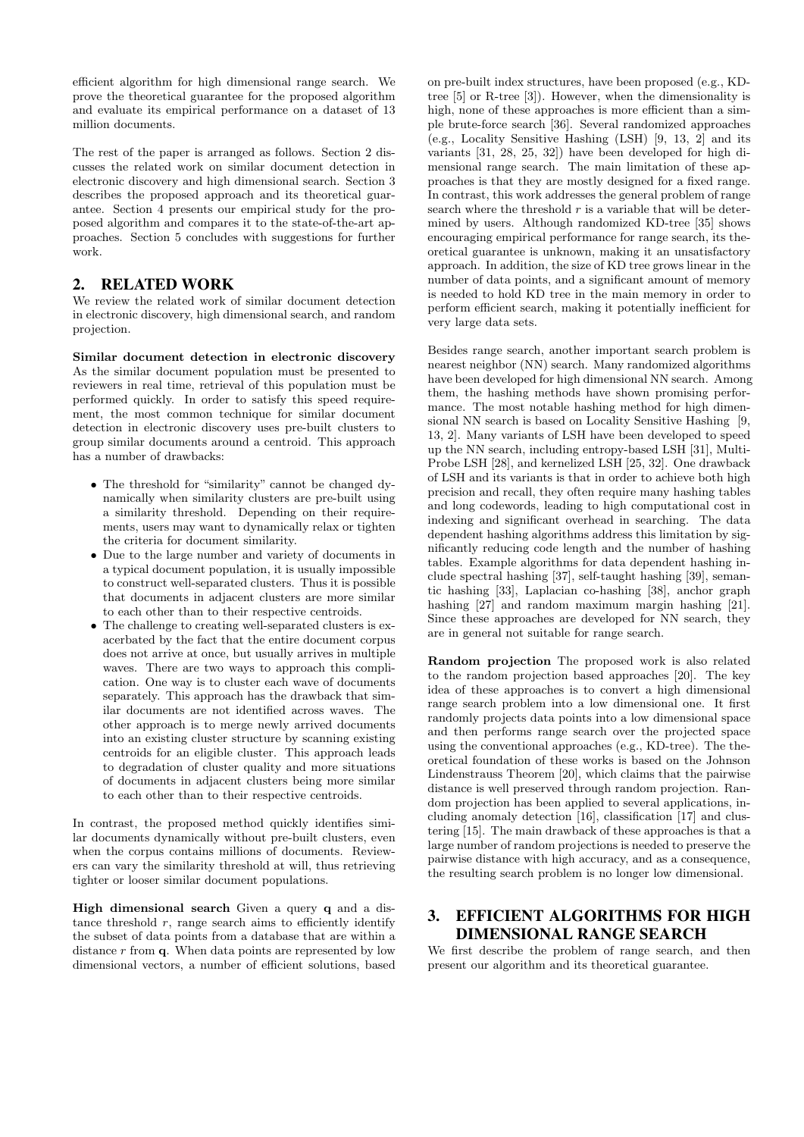efficient algorithm for high dimensional range search. We prove the theoretical guarantee for the proposed algorithm and evaluate its empirical performance on a dataset of 13 million documents.

The rest of the paper is arranged as follows. Section 2 discusses the related work on similar document detection in electronic discovery and high dimensional search. Section 3 describes the proposed approach and its theoretical guarantee. Section 4 presents our empirical study for the proposed algorithm and compares it to the state-of-the-art approaches. Section 5 concludes with suggestions for further work.

## 2. RELATED WORK

We review the related work of similar document detection in electronic discovery, high dimensional search, and random projection.

**Similar document detection in electronic discovery** As the similar document population must be presented to reviewers in real time, retrieval of this population must be performed quickly. In order to satisfy this speed requirement, the most common technique for similar document detection in electronic discovery uses pre-built clusters to group similar documents around a centroid. This approach has a number of drawbacks:

- The threshold for "similarity" cannot be changed dynamically when similarity clusters are pre-built using a similarity threshold. Depending on their requirements, users may want to dynamically relax or tighten the criteria for document similarity.
- *•* Due to the large number and variety of documents in a typical document population, it is usually impossible to construct well-separated clusters. Thus it is possible that documents in adjacent clusters are more similar to each other than to their respective centroids.
- *•* The challenge to creating well-separated clusters is exacerbated by the fact that the entire document corpus does not arrive at once, but usually arrives in multiple waves. There are two ways to approach this complication. One way is to cluster each wave of documents separately. This approach has the drawback that similar documents are not identified across waves. The other approach is to merge newly arrived documents into an existing cluster structure by scanning existing centroids for an eligible cluster. This approach leads to degradation of cluster quality and more situations of documents in adjacent clusters being more similar to each other than to their respective centroids.

In contrast, the proposed method quickly identifies similar documents dynamically without pre-built clusters, even when the corpus contains millions of documents. Reviewers can vary the similarity threshold at will, thus retrieving tighter or looser similar document populations.

**High dimensional search** Given a query **q** and a distance threshold  $r$ , range search aims to efficiently identify the subset of data points from a database that are within a distance *r* from **q**. When data points are represented by low dimensional vectors, a number of efficient solutions, based on pre-built index structures, have been proposed (e.g., KDtree [5] or R-tree [3]). However, when the dimensionality is high, none of these approaches is more efficient than a simple brute-force search [36]. Several randomized approaches (e.g., Locality Sensitive Hashing (LSH) [9, 13, 2] and its variants [31, 28, 25, 32]) have been developed for high dimensional range search. The main limitation of these approaches is that they are mostly designed for a fixed range. In contrast, this work addresses the general problem of range search where the threshold *r* is a variable that will be determined by users. Although randomized KD-tree [35] shows encouraging empirical performance for range search, its theoretical guarantee is unknown, making it an unsatisfactory approach. In addition, the size of KD tree grows linear in the number of data points, and a significant amount of memory is needed to hold KD tree in the main memory in order to perform efficient search, making it potentially inefficient for very large data sets.

Besides range search, another important search problem is nearest neighbor (NN) search. Many randomized algorithms have been developed for high dimensional NN search. Among them, the hashing methods have shown promising performance. The most notable hashing method for high dimensional NN search is based on Locality Sensitive Hashing [9, 13, 2]. Many variants of LSH have been developed to speed up the NN search, including entropy-based LSH [31], Multi-Probe LSH [28], and kernelized LSH [25, 32]. One drawback of LSH and its variants is that in order to achieve both high precision and recall, they often require many hashing tables and long codewords, leading to high computational cost in indexing and significant overhead in searching. The data dependent hashing algorithms address this limitation by significantly reducing code length and the number of hashing tables. Example algorithms for data dependent hashing include spectral hashing [37], self-taught hashing [39], semantic hashing [33], Laplacian co-hashing [38], anchor graph hashing [27] and random maximum margin hashing [21]. Since these approaches are developed for NN search, they are in general not suitable for range search.

**Random projection** The proposed work is also related to the random projection based approaches [20]. The key idea of these approaches is to convert a high dimensional range search problem into a low dimensional one. It first randomly projects data points into a low dimensional space and then performs range search over the projected space using the conventional approaches (e.g., KD-tree). The theoretical foundation of these works is based on the Johnson Lindenstrauss Theorem [20], which claims that the pairwise distance is well preserved through random projection. Random projection has been applied to several applications, including anomaly detection [16], classification [17] and clustering [15]. The main drawback of these approaches is that a large number of random projections is needed to preserve the pairwise distance with high accuracy, and as a consequence, the resulting search problem is no longer low dimensional.

## 3. EFFICIENT ALGORITHMS FOR HIGH DIMENSIONAL RANGE SEARCH

We first describe the problem of range search, and then present our algorithm and its theoretical guarantee.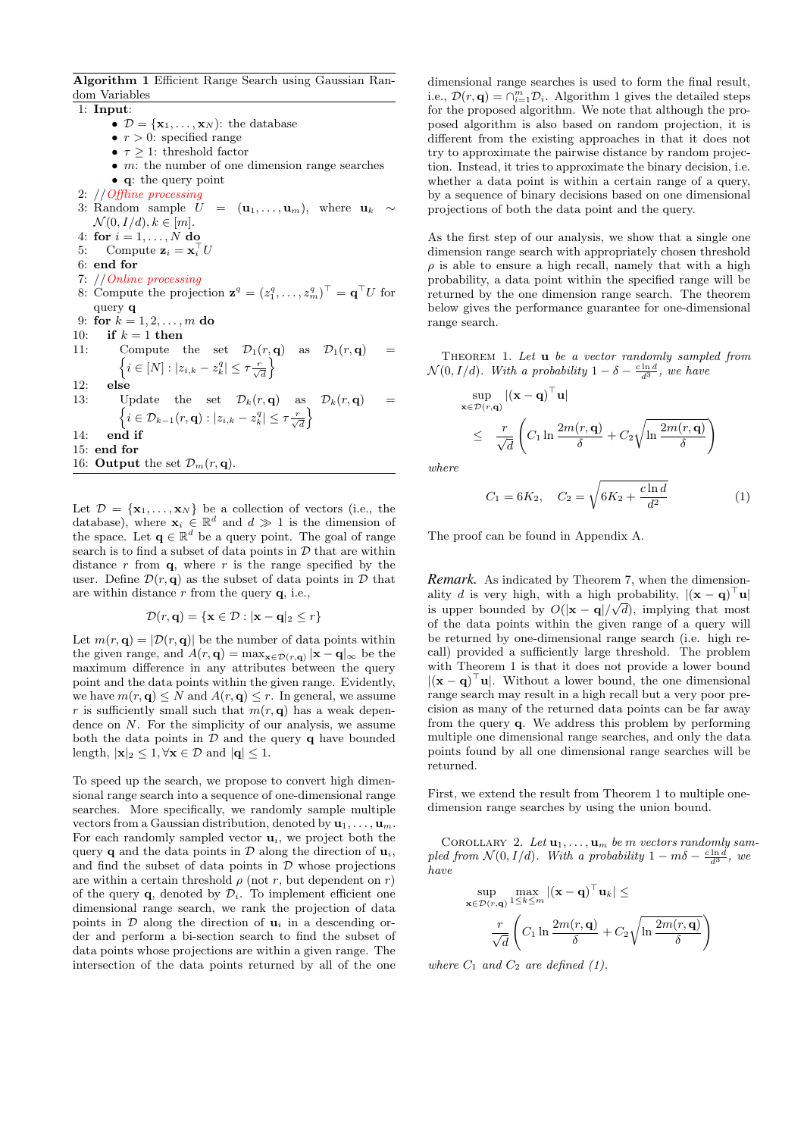**Algorithm 1** Efficient Range Search using Gaussian Random Variables

1: **Input**:

- $\mathcal{D} = {\mathbf{x}_1, \dots, \mathbf{x}_N}$ : the database
- *• r >* 0: specified range
- $\tau \geq 1$ : threshold factor
- *• m*: the number of one dimension range searches
- *•* **q**: the query point
- 2: //*Offline processing*
- 3: Random sample  $U = (\mathbf{u}_1, \dots, \mathbf{u}_m)$ , where  $\mathbf{u}_k \sim$  $\mathcal{N}(0, I/d), k \in [m].$
- 4: **for**  $i = 1, ..., N$  **do**
- 5: Compute  $\mathbf{z}_i = \mathbf{x}_i^{\top} U$
- 6: **end for**
- 7: //*Online processing*
- 8: Compute the projection  $\mathbf{z}^q = (z_1^q, \ldots, z_m^q)^\top = \mathbf{q}^\top U$  for query **q**
- 9: **for**  $k = 1, 2, ..., m$  **do**
- 10: **if**  $k = 1$  **then**
- 11: Compute the set  $\mathcal{D}_1(r, \mathbf{q})$  as  $\mathcal{D}_1(r, \mathbf{q})$  =  $\left\{ i \in [N]: |z_{i,k} - z_k^q| \leq \tau \frac{r}{\sqrt{d}} \right\}$  $\lambda$ 12: **else**
- 13: Update the set  $\mathcal{D}_k(r, \mathbf{q})$  as  $\mathcal{D}_k(r, \mathbf{q})$  $\left\{ i \in \mathcal{D}_{k-1}(r, \mathbf{q}) : |z_{i,k} - z_k^q| \leq \tau \frac{r}{\sqrt{d}} \right\}$  $\lambda$ 14: **end if**
- 15: **end for**
- 16: **Output** the set  $\mathcal{D}_m(r, \mathbf{q})$ .

Let  $\mathcal{D} = {\mathbf{x}_1, \dots, \mathbf{x}_N}$  be a collection of vectors (i.e., the database), where  $\mathbf{x}_i \in \mathbb{R}^d$  and  $d \gg 1$  is the dimension of the space. Let  $\mathbf{q} \in \mathbb{R}^d$  be a query point. The goal of range search is to find a subset of data points in *D* that are within distance  $r$  from  $q$ , where  $r$  is the range specified by the user. Define  $\mathcal{D}(r, \mathbf{q})$  as the subset of data points in  $\mathcal D$  that are within distance *r* from the query **q**, i.e.,

$$
\mathcal{D}(r, \mathbf{q}) = \{ \mathbf{x} \in \mathcal{D} : |\mathbf{x} - \mathbf{q}|_2 \le r \}
$$

Let  $m(r, \mathbf{q}) = |\mathcal{D}(r, \mathbf{q})|$  be the number of data points within the given range, and  $A(r, \mathbf{q}) = \max_{\mathbf{x} \in \mathcal{D}(r, \mathbf{q})} |\mathbf{x} - \mathbf{q}|_{\infty}$  be the maximum difference in any attributes between the query point and the data points within the given range. Evidently, we have  $m(r, \mathbf{q}) \leq N$  and  $A(r, \mathbf{q}) \leq r$ . In general, we assume *r* is sufficiently small such that  $m(r, q)$  has a weak dependence on *N*. For the simplicity of our analysis, we assume both the data points in  $D$  and the query **q** have bounded length,  $|\mathbf{x}|_2 \leq 1, \forall \mathbf{x} \in \mathcal{D}$  and  $|\mathbf{q}| \leq 1$ .

To speed up the search, we propose to convert high dimensional range search into a sequence of one-dimensional range searches. More specifically, we randomly sample multiple vectors from a Gaussian distribution, denoted by **u**1*, . . . ,* **u***m*. For each randomly sampled vector  $\mathbf{u}_i$ , we project both the query **q** and the data points in  $\mathcal{D}$  along the direction of  $\mathbf{u}_i$ , and find the subset of data points in  $D$  whose projections are within a certain threshold  $\rho$  (not *r*, but dependent on *r*) of the query **q**, denoted by  $\mathcal{D}_i$ . To implement efficient one dimensional range search, we rank the projection of data points in  $D$  along the direction of  $\mathbf{u}_i$  in a descending order and perform a bi-section search to find the subset of data points whose projections are within a given range. The intersection of the data points returned by all of the one

dimensional range searches is used to form the final result, i.e.,  $\mathcal{D}(r, \mathbf{q}) = \bigcap_{i=1}^{m} \mathcal{D}_i$ . Algorithm 1 gives the detailed steps for the proposed algorithm. We note that although the proposed algorithm is also based on random projection, it is different from the existing approaches in that it does not try to approximate the pairwise distance by random projection. Instead, it tries to approximate the binary decision, i.e. whether a data point is within a certain range of a query, by a sequence of binary decisions based on one dimensional projections of both the data point and the query.

As the first step of our analysis, we show that a single one dimension range search with appropriately chosen threshold  $\rho$  is able to ensure a high recall, namely that with a high probability, a data point within the specified range will be returned by the one dimension range search. The theorem below gives the performance guarantee for one-dimensional range search.

Theorem 1. *Let* **u** *be a vector randomly sampled from*  $\mathcal{N}(0, I/d)$ *. With a probability*  $1 - \delta - \frac{c \ln d}{d^3}$ *, we have* 

$$
\sup_{\mathbf{x}\in\mathcal{D}(r,\mathbf{q})} |(\mathbf{x}-\mathbf{q})^\top \mathbf{u}|
$$
  
\$\leq \frac{r}{\sqrt{d}}\left(C\_1 \ln \frac{2m(r,\mathbf{q})}{\delta} + C\_2 \sqrt{\ln \frac{2m(r,\mathbf{q})}{\delta}}\right)\$

*where*

$$
C_1 = 6K_2, \quad C_2 = \sqrt{6K_2 + \frac{c\ln d}{d^2}}\tag{1}
$$

The proof can be found in Appendix A.

*Remark.* As indicated by Theorem 7, when the dimensionality *d* is very high, with a high probability,  $|(\mathbf{x} - \mathbf{q})| \cdot \mathbf{u}|$ is upper bounded by  $O(|\mathbf{x} - \mathbf{q}|/\sqrt{d})$ , implying that most of the data points within the given range of a query will be returned by one-dimensional range search (i.e. high recall) provided a sufficiently large threshold. The problem with Theorem 1 is that it does not provide a lower bound *|*(**x** *−* **q**) *<sup>⊤</sup>***u***|*. Without a lower bound, the one dimensional range search may result in a high recall but a very poor precision as many of the returned data points can be far away from the query **q**. We address this problem by performing multiple one dimensional range searches, and only the data points found by all one dimensional range searches will be returned.

First, we extend the result from Theorem 1 to multiple onedimension range searches by using the union bound.

COROLLARY 2. Let  $\mathbf{u}_1, \ldots, \mathbf{u}_m$  be *m* vectors randomly sam*pled from*  $\mathcal{N}(0, I/d)$ *. With a probability*  $1 - m\delta - \frac{c \ln d}{d^3}$ *, we have*

$$
\sup_{\mathbf{x}\in\mathcal{D}(r,\mathbf{q})}\max_{1\leq k\leq m}|(\mathbf{x}-\mathbf{q})^\top\mathbf{u}_k|\leq
$$

$$
\frac{r}{\sqrt{d}}\left(C_1\ln\frac{2m(r,\mathbf{q})}{\delta}+C_2\sqrt{\ln\frac{2m(r,\mathbf{q})}{\delta}}\right)
$$

*where*  $C_1$  *and*  $C_2$  *are defined* (1).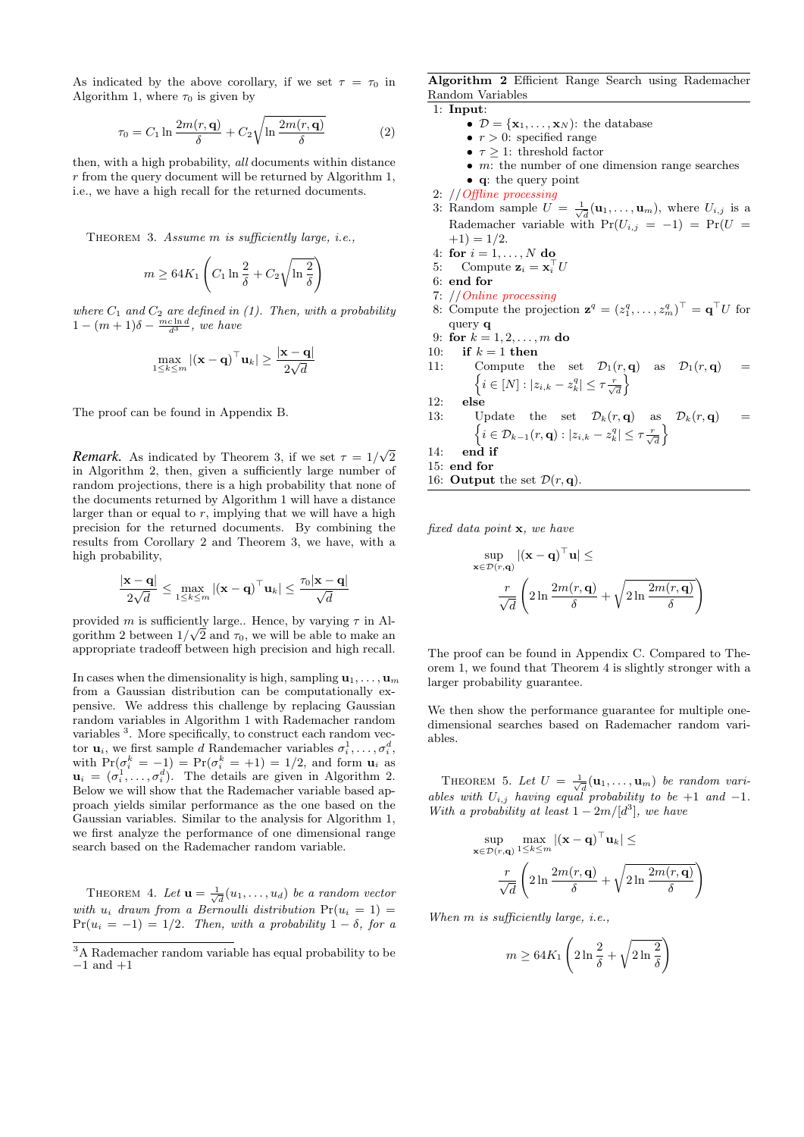As indicated by the above corollary, if we set  $\tau = \tau_0$  in Algorithm 1, where  $\tau_0$  is given by

$$
\tau_0 = C_1 \ln \frac{2m(r, \mathbf{q})}{\delta} + C_2 \sqrt{\ln \frac{2m(r, \mathbf{q})}{\delta}} \tag{2}
$$

then, with a high probability, *all* documents within distance *r* from the query document will be returned by Algorithm 1, i.e., we have a high recall for the returned documents.

Theorem 3. *Assume m is sufficiently large, i.e.,*

$$
m \geq 64 K_1 \left( C_1 \ln \frac{2}{\delta} + C_2 \sqrt{\ln \frac{2}{\delta}} \right)
$$

where  $C_1$  and  $C_2$  are defined in (1). Then, with a probability  $1 - (m+1)\delta - \frac{mc \ln d}{d^3}$ , we have

$$
\max_{1 \le k \le m} |(\mathbf{x} - \mathbf{q})^\top \mathbf{u}_k| \ge \frac{|\mathbf{x} - \mathbf{q}|}{2\sqrt{d}}
$$

The proof can be found in Appendix B.

*Remark.* As indicated by Theorem 3, if we set  $\tau = 1/\sqrt{2}$ in Algorithm 2, then, given a sufficiently large number of random projections, there is a high probability that none of the documents returned by Algorithm 1 will have a distance larger than or equal to *r*, implying that we will have a high precision for the returned documents. By combining the results from Corollary 2 and Theorem 3, we have, with a high probability,

$$
\frac{|\mathbf{x} - \mathbf{q}|}{2\sqrt{d}} \le \max_{1 \le k \le m} |(\mathbf{x} - \mathbf{q})^\top \mathbf{u}_k| \le \frac{\tau_0 |\mathbf{x} - \mathbf{q}|}{\sqrt{d}}
$$

provided *m* is sufficiently large.. Hence, by varying *τ* in Al-*√* gorithm 2 between  $1/\sqrt{2}$  and  $\tau_0$ , we will be able to make an appropriate tradeoff between high precision and high recall.

In cases when the dimensionality is high, sampling  $\mathbf{u}_1, \ldots, \mathbf{u}_m$ from a Gaussian distribution can be computationally expensive. We address this challenge by replacing Gaussian random variables in Algorithm 1 with Rademacher random variables <sup>3</sup>. More specifically, to construct each random vector **u**<sub>*i*</sub>, we first sample *d* Randemacher variables  $\sigma_i^1, \ldots, \sigma_i^d$ , with  $Pr(\sigma_i^k = -1) = Pr(\sigma_i^k = +1) = 1/2$ , and form  $\mathbf{u}_i$  as  $\mathbf{u}_i = (\sigma_i^1, \dots, \sigma_i^d)$ . The details are given in Algorithm 2. Below we will show that the Rademacher variable based approach yields similar performance as the one based on the Gaussian variables. Similar to the analysis for Algorithm 1, we first analyze the performance of one dimensional range search based on the Rademacher random variable.

THEOREM 4. Let  $\mathbf{u} = \frac{1}{\sqrt{d}}(u_1, \ldots, u_d)$  be a random vector *with*  $u_i$  *drawn from a Bernoulli distribution*  $Pr(u_i = 1)$  $Pr(u_i = -1) = 1/2$ . Then, with a probability  $1 - \delta$ , for a **Algorithm 2** Efficient Range Search using Rademacher Random Variables

1: **Input**:

- $\mathcal{D} = {\mathbf{x}_1, \dots, \mathbf{x}_N}$ : the database
- *• r >* 0: specified range
- $\tau \geq 1$ : threshold factor
- *• m*: the number of one dimension range searches
- *•* **q**: the query point
- 2: //*Offline processing*
- 3: Random sample  $U = \frac{1}{\sqrt{d}}(\mathbf{u}_1, \dots, \mathbf{u}_m)$ , where  $U_{i,j}$  is a Rademacher variable with  $Pr(U_{i,j} = -1) = Pr(U =$  $+1) = 1/2.$
- 4: **for** *i* = 1*, . . . , N* **do**
- 5: Compute  $\mathbf{z}_i = \mathbf{x}_i^{\top} U$
- 6: **end for**
- 7: //*Online processing*
- 8: Compute the projection  $\mathbf{z}^q = (z_1^q, \ldots, z_m^q)^\top = \mathbf{q}^\top U$  for query **q**
- 9: **for**  $k = 1, 2, ..., m$  **do**
- 10: **if**  $k = 1$  **then**
- 11: Compute the set  $\mathcal{D}_1(r, \mathbf{q})$  as  $\mathcal{D}_1(r, \mathbf{q})$  =  $\left\{ i \in [N]: |z_{i,k} - z_k^q| \leq \tau \frac{r}{\sqrt{d}} \right\}$  $\lambda$
- 12: **else**
- 13: Update the set  $\mathcal{D}_k(r, \mathbf{q})$  as  $\mathcal{D}_k(r, \mathbf{q})$  =  $\left\{ i \in \mathcal{D}_{k-1}(r, \mathbf{q}) : |z_{i,k} - z_k^q| \leq \tau \frac{r}{\sqrt{d}}\right\}$  $\mathfrak{d}$ 14: **end if**
- 
- 15: **end for**
- 16: **Output** the set  $\mathcal{D}(r, \mathbf{q})$ .

*fixed data point* **x***, we have*

$$
\sup_{\mathbf{x}\in\mathcal{D}(r,\mathbf{q})} |(\mathbf{x}-\mathbf{q})^\top \mathbf{u}| \le
$$

$$
\frac{r}{\sqrt{d}} \left(2\ln\frac{2m(r,\mathbf{q})}{\delta} + \sqrt{2\ln\frac{2m(r,\mathbf{q})}{\delta}}\right)
$$

The proof can be found in Appendix C. Compared to Theorem 1, we found that Theorem 4 is slightly stronger with a larger probability guarantee.

We then show the performance guarantee for multiple onedimensional searches based on Rademacher random variables.

THEOREM 5. Let  $U = \frac{1}{\sqrt{d}}(\mathbf{u}_1, \dots, \mathbf{u}_m)$  be random vari*ables with*  $U_{i,j}$  *having equal probability to be* +1 *and* -1*. With a probability at least*  $1 - 2m/[d^3]$ *, we have* 

$$
\sup_{\epsilon \in \mathcal{D}(r,\mathbf{q})} \max_{1 \leq k \leq m} |(\mathbf{x} - \mathbf{q})^\top \mathbf{u}_k| \leq
$$

$$
\frac{r}{\sqrt{d}} \left( 2 \ln \frac{2m(r,\mathbf{q})}{\delta} + \sqrt{2 \ln \frac{2m(r,\mathbf{q})}{\delta}} \right)
$$

*When m is sufficiently large, i.e.,*

**x***∈D*(*r,***q**)

$$
m \ge 64K_1 \left(2 \ln \frac{2}{\delta} + \sqrt{2 \ln \frac{2}{\delta}}\right)
$$

<sup>3</sup>A Rademacher random variable has equal probability to be *−*1 and +1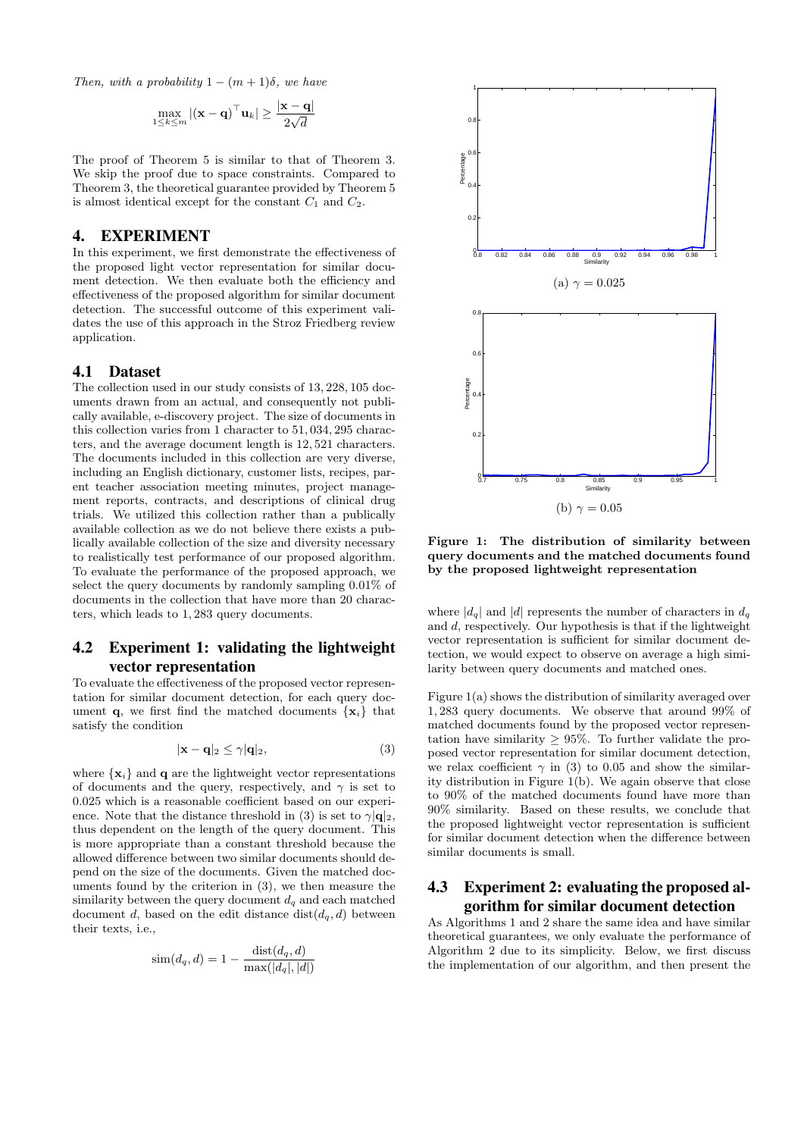*Then, with a probability*  $1 - (m + 1)\delta$ *, we have* 

$$
\max_{1 \leq k \leq m} |(\mathbf{x} - \mathbf{q})^\top \mathbf{u}_k| \geq \frac{|\mathbf{x} - \mathbf{q}|}{2\sqrt{d}}
$$

The proof of Theorem 5 is similar to that of Theorem 3. We skip the proof due to space constraints. Compared to Theorem 3, the theoretical guarantee provided by Theorem 5 is almost identical except for the constant  $C_1$  and  $C_2$ .

#### 4. EXPERIMENT

In this experiment, we first demonstrate the effectiveness of the proposed light vector representation for similar document detection. We then evaluate both the efficiency and effectiveness of the proposed algorithm for similar document detection. The successful outcome of this experiment validates the use of this approach in the Stroz Friedberg review application.

#### 4.1 Dataset

The collection used in our study consists of 13*,* 228*,* 105 documents drawn from an actual, and consequently not publically available, e-discovery project. The size of documents in this collection varies from 1 character to 51*,* 034*,* 295 characters, and the average document length is 12*,* 521 characters. The documents included in this collection are very diverse, including an English dictionary, customer lists, recipes, parent teacher association meeting minutes, project management reports, contracts, and descriptions of clinical drug trials. We utilized this collection rather than a publically available collection as we do not believe there exists a publically available collection of the size and diversity necessary to realistically test performance of our proposed algorithm. To evaluate the performance of the proposed approach, we select the query documents by randomly sampling 0*.*01% of documents in the collection that have more than 20 characters, which leads to 1*,* 283 query documents.

#### 4.2 Experiment 1: validating the lightweight vector representation

To evaluate the effectiveness of the proposed vector representation for similar document detection, for each query document **q**, we first find the matched documents  $\{x_i\}$  that satisfy the condition

$$
|\mathbf{x} - \mathbf{q}|_2 \le \gamma |\mathbf{q}|_2,\tag{3}
$$

where  $\{x_i\}$  and **q** are the lightweight vector representations of documents and the query, respectively, and  $\gamma$  is set to 0*.*025 which is a reasonable coefficient based on our experience. Note that the distance threshold in (3) is set to  $\gamma | \mathbf{q} |_2$ , thus dependent on the length of the query document. This is more appropriate than a constant threshold because the allowed difference between two similar documents should depend on the size of the documents. Given the matched documents found by the criterion in (3), we then measure the similarity between the query document  $d_q$  and each matched document *d*, based on the edit distance  $dist(d_q, d)$  between their texts, i.e.,

$$
\text{sim}(d_q, d) = 1 - \frac{\text{dist}(d_q, d)}{\max(|d_q|, |d|)}
$$



**Figure 1: The distribution of similarity between query documents and the matched documents found by the proposed lightweight representation**

where  $|d_q|$  and  $|d|$  represents the number of characters in  $d_q$ and *d*, respectively. Our hypothesis is that if the lightweight vector representation is sufficient for similar document detection, we would expect to observe on average a high similarity between query documents and matched ones.

Figure 1(a) shows the distribution of similarity averaged over 1*,* 283 query documents. We observe that around 99% of matched documents found by the proposed vector representation have similarity *≥* 95%. To further validate the proposed vector representation for similar document detection, we relax coefficient  $\gamma$  in (3) to 0.05 and show the similarity distribution in Figure 1(b). We again observe that close to 90% of the matched documents found have more than 90% similarity. Based on these results, we conclude that the proposed lightweight vector representation is sufficient for similar document detection when the difference between similar documents is small.

#### 4.3 Experiment 2: evaluating the proposed algorithm for similar document detection

As Algorithms 1 and 2 share the same idea and have similar theoretical guarantees, we only evaluate the performance of Algorithm 2 due to its simplicity. Below, we first discuss the implementation of our algorithm, and then present the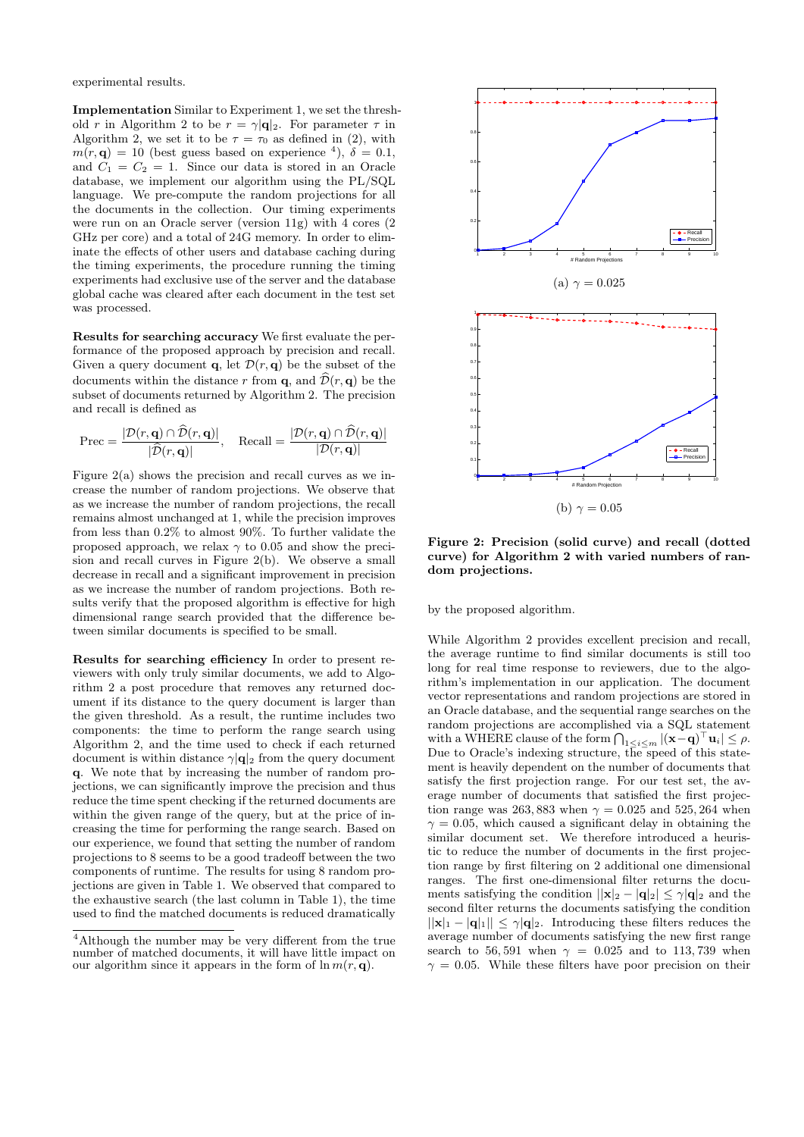experimental results.

**Implementation** Similar to Experiment 1, we set the threshold *r* in Algorithm 2 to be  $r = \gamma |\mathbf{q}|_2$ . For parameter  $\tau$  in Algorithm 2, we set it to be  $\tau = \tau_0$  as defined in (2), with  $m(r, \mathbf{q}) = 10$  (best guess based on experience <sup>4</sup>),  $\delta = 0.1$ , and  $C_1 = C_2 = 1$ . Since our data is stored in an Oracle database, we implement our algorithm using the PL/SQL language. We pre-compute the random projections for all the documents in the collection. Our timing experiments were run on an Oracle server (version 11g) with 4 cores (2 GHz per core) and a total of 24G memory. In order to eliminate the effects of other users and database caching during the timing experiments, the procedure running the timing experiments had exclusive use of the server and the database global cache was cleared after each document in the test set was processed.

**Results for searching accuracy** We first evaluate the performance of the proposed approach by precision and recall. Given a query document **q**, let  $\mathcal{D}(r, \mathbf{q})$  be the subset of the documents within the distance r from **q**, and  $\hat{\mathcal{D}}(r, \mathbf{q})$  be the subset of documents returned by Algorithm 2. The precision and recall is defined as

$$
\text{Prec} = \frac{|\mathcal{D}(r, \mathbf{q}) \cap \mathcal{D}(r, \mathbf{q})|}{|\mathcal{\widehat{D}}(r, \mathbf{q})|}, \quad \text{Recall} = \frac{|\mathcal{D}(r, \mathbf{q}) \cap \mathcal{\widehat{D}}(r, \mathbf{q})|}{|\mathcal{D}(r, \mathbf{q})|}
$$

Figure 2(a) shows the precision and recall curves as we increase the number of random projections. We observe that as we increase the number of random projections, the recall remains almost unchanged at 1, while the precision improves from less than 0*.*2% to almost 90%. To further validate the proposed approach, we relax *γ* to 0*.*05 and show the precision and recall curves in Figure 2(b). We observe a small decrease in recall and a significant improvement in precision as we increase the number of random projections. Both results verify that the proposed algorithm is effective for high dimensional range search provided that the difference between similar documents is specified to be small.

**Results for searching efficiency** In order to present reviewers with only truly similar documents, we add to Algorithm 2 a post procedure that removes any returned document if its distance to the query document is larger than the given threshold. As a result, the runtime includes two components: the time to perform the range search using Algorithm 2, and the time used to check if each returned document is within distance *γ|***q***|*<sup>2</sup> from the query document **q**. We note that by increasing the number of random projections, we can significantly improve the precision and thus reduce the time spent checking if the returned documents are within the given range of the query, but at the price of increasing the time for performing the range search. Based on our experience, we found that setting the number of random projections to 8 seems to be a good tradeoff between the two components of runtime. The results for using 8 random projections are given in Table 1. We observed that compared to the exhaustive search (the last column in Table 1), the time used to find the matched documents is reduced dramatically



**Figure 2: Precision (solid curve) and recall (dotted curve) for Algorithm 2 with varied numbers of random projections.**

by the proposed algorithm.

While Algorithm 2 provides excellent precision and recall, the average runtime to find similar documents is still too long for real time response to reviewers, due to the algorithm's implementation in our application. The document vector representations and random projections are stored in an Oracle database, and the sequential range searches on the random projections are accomplished via a SQL statement with a WHERE clause of the form  $\bigcap_{1 \leq i \leq m} |(\mathbf{x} - \mathbf{q})^\top \mathbf{u}_i| \leq \rho$ . Due to Oracle's indexing structure, the speed of this statement is heavily dependent on the number of documents that satisfy the first projection range. For our test set, the average number of documents that satisfied the first projection range was 263, 883 when  $\gamma = 0.025$  and 525, 264 when  $\gamma = 0.05$ , which caused a significant delay in obtaining the similar document set. We therefore introduced a heuristic to reduce the number of documents in the first projection range by first filtering on 2 additional one dimensional ranges. The first one-dimensional filter returns the documents satisfying the condition  $||\mathbf{x}||_2 - |\mathbf{q}|_2| \leq \gamma |\mathbf{q}|_2$  and the second filter returns the documents satisfying the condition  $||\mathbf{x}||_1 - |\mathbf{q}||_1|| \leq \gamma |\mathbf{q}|_2$ . Introducing these filters reduces the average number of documents satisfying the new first range search to 56,591 when  $\gamma = 0.025$  and to 113,739 when  $\gamma = 0.05$ . While these filters have poor precision on their

<sup>4</sup>Although the number may be very different from the true number of matched documents, it will have little impact on our algorithm since it appears in the form of  $\ln m(r, \mathbf{q})$ .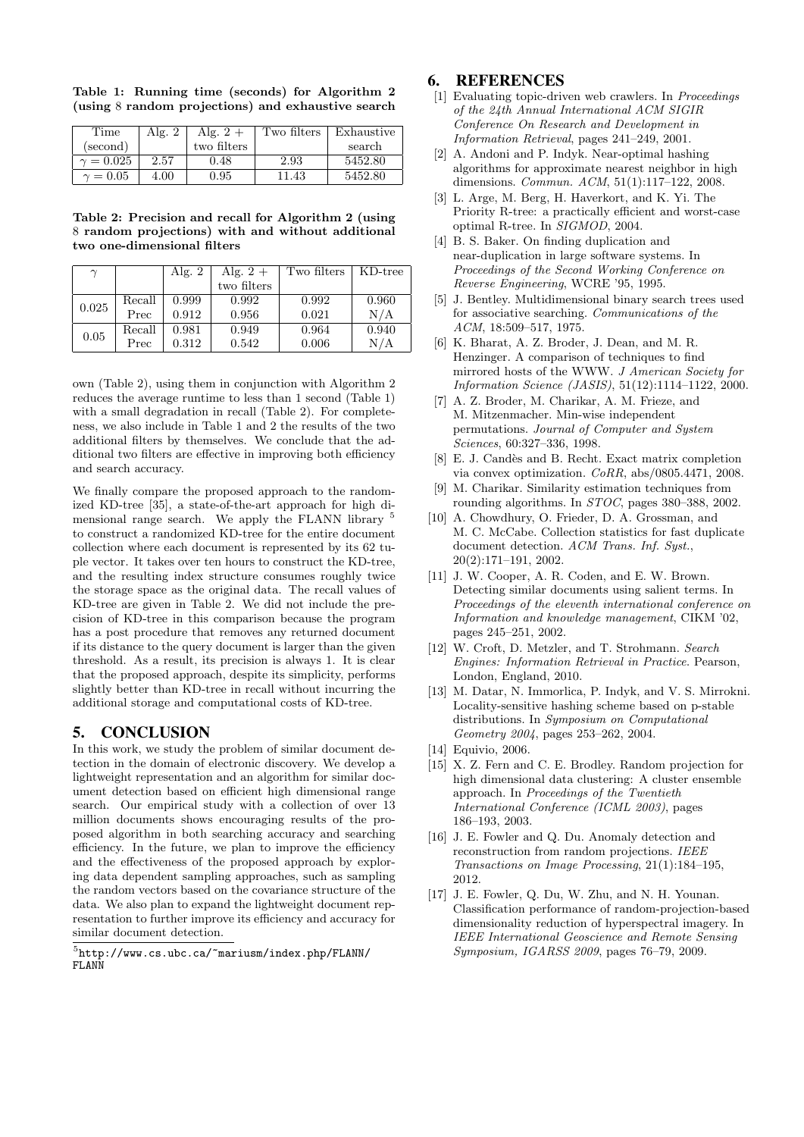|  | Table 1: Running time (seconds) for Algorithm 2    |  |  |  |  |
|--|----------------------------------------------------|--|--|--|--|
|  | (using 8 random projections) and exhaustive search |  |  |  |  |

| Time             | Alg. | Alg. $2+$   | Two filters | Exhaustive |  |
|------------------|------|-------------|-------------|------------|--|
| (second)         |      | two filters |             | search     |  |
| $\gamma = 0.025$ | 2.57 | 0.48        | 2.93        | 5452.80    |  |
| $\gamma = 0.05$  | 4.00 | 0.95        | 11.43       | 5452.80    |  |

**Table 2: Precision and recall for Algorithm 2 (using** 8 **random projections) with and without additional two one-dimensional filters**

| $\sim$ |        | Alg. $2$ | Alg. $2 +$  | Two filters | KD-tree |
|--------|--------|----------|-------------|-------------|---------|
|        |        |          | two filters |             |         |
| 0.025  | Recall | 0.999    | 0.992       | 0.992       | 0.960   |
|        | Prec   | 0.912    | 0.956       | 0.021       | N/A     |
| 0.05   | Recall | 0.981    | 0.949       | 0.964       | 0.940   |
|        | Prec   | 0.312    | 0.542       | 0.006       | N/A     |

own (Table 2), using them in conjunction with Algorithm 2 reduces the average runtime to less than 1 second (Table 1) with a small degradation in recall (Table 2). For completeness, we also include in Table 1 and 2 the results of the two additional filters by themselves. We conclude that the additional two filters are effective in improving both efficiency and search accuracy.

We finally compare the proposed approach to the randomized KD-tree [35], a state-of-the-art approach for high dimensional range search. We apply the FLANN library <sup>5</sup> to construct a randomized KD-tree for the entire document collection where each document is represented by its 62 tuple vector. It takes over ten hours to construct the KD-tree, and the resulting index structure consumes roughly twice the storage space as the original data. The recall values of KD-tree are given in Table 2. We did not include the precision of KD-tree in this comparison because the program has a post procedure that removes any returned document if its distance to the query document is larger than the given threshold. As a result, its precision is always 1. It is clear that the proposed approach, despite its simplicity, performs slightly better than KD-tree in recall without incurring the additional storage and computational costs of KD-tree.

### 5. CONCLUSION

In this work, we study the problem of similar document detection in the domain of electronic discovery. We develop a lightweight representation and an algorithm for similar document detection based on efficient high dimensional range search. Our empirical study with a collection of over 13 million documents shows encouraging results of the proposed algorithm in both searching accuracy and searching efficiency. In the future, we plan to improve the efficiency and the effectiveness of the proposed approach by exploring data dependent sampling approaches, such as sampling the random vectors based on the covariance structure of the data. We also plan to expand the lightweight document representation to further improve its efficiency and accuracy for similar document detection.

#### 6. REFERENCES

- [1] Evaluating topic-driven web crawlers. In *Proceedings of the 24th Annual International ACM SIGIR Conference On Research and Development in Information Retrieval*, pages 241–249, 2001.
- [2] A. Andoni and P. Indyk. Near-optimal hashing algorithms for approximate nearest neighbor in high dimensions. *Commun. ACM*, 51(1):117–122, 2008.
- [3] L. Arge, M. Berg, H. Haverkort, and K. Yi. The Priority R-tree: a practically efficient and worst-case optimal R-tree. In *SIGMOD*, 2004.
- [4] B. S. Baker. On finding duplication and near-duplication in large software systems. In *Proceedings of the Second Working Conference on Reverse Engineering*, WCRE '95, 1995.
- [5] J. Bentley. Multidimensional binary search trees used for associative searching. *Communications of the ACM*, 18:509–517, 1975.
- [6] K. Bharat, A. Z. Broder, J. Dean, and M. R. Henzinger. A comparison of techniques to find mirrored hosts of the WWW. *J American Society for Information Science (JASIS)*, 51(12):1114–1122, 2000.
- [7] A. Z. Broder, M. Charikar, A. M. Frieze, and M. Mitzenmacher. Min-wise independent permutations. *Journal of Computer and System Sciences*, 60:327–336, 1998.
- [8] E. J. Candès and B. Recht. Exact matrix completion via convex optimization. *CoRR*, abs/0805.4471, 2008.
- [9] M. Charikar. Similarity estimation techniques from rounding algorithms. In *STOC*, pages 380–388, 2002.
- [10] A. Chowdhury, O. Frieder, D. A. Grossman, and M. C. McCabe. Collection statistics for fast duplicate document detection. *ACM Trans. Inf. Syst.*, 20(2):171–191, 2002.
- [11] J. W. Cooper, A. R. Coden, and E. W. Brown. Detecting similar documents using salient terms. In *Proceedings of the eleventh international conference on Information and knowledge management*, CIKM '02, pages 245–251, 2002.
- [12] W. Croft, D. Metzler, and T. Strohmann. *Search Engines: Information Retrieval in Practice*. Pearson, London, England, 2010.
- [13] M. Datar, N. Immorlica, P. Indyk, and V. S. Mirrokni. Locality-sensitive hashing scheme based on p-stable distributions. In *Symposium on Computational Geometry 2004*, pages 253–262, 2004.
- [14] Equivio, 2006.
- [15] X. Z. Fern and C. E. Brodley. Random projection for high dimensional data clustering: A cluster ensemble approach. In *Proceedings of the Twentieth International Conference (ICML 2003)*, pages 186–193, 2003.
- [16] J. E. Fowler and Q. Du. Anomaly detection and reconstruction from random projections. *IEEE Transactions on Image Processing*, 21(1):184–195, 2012.
- [17] J. E. Fowler, Q. Du, W. Zhu, and N. H. Younan. Classification performance of random-projection-based dimensionality reduction of hyperspectral imagery. In *IEEE International Geoscience and Remote Sensing Symposium, IGARSS 2009*, pages 76–79, 2009.

<sup>5</sup> http://www.cs.ubc.ca/~mariusm/index.php/FLANN/ FLANN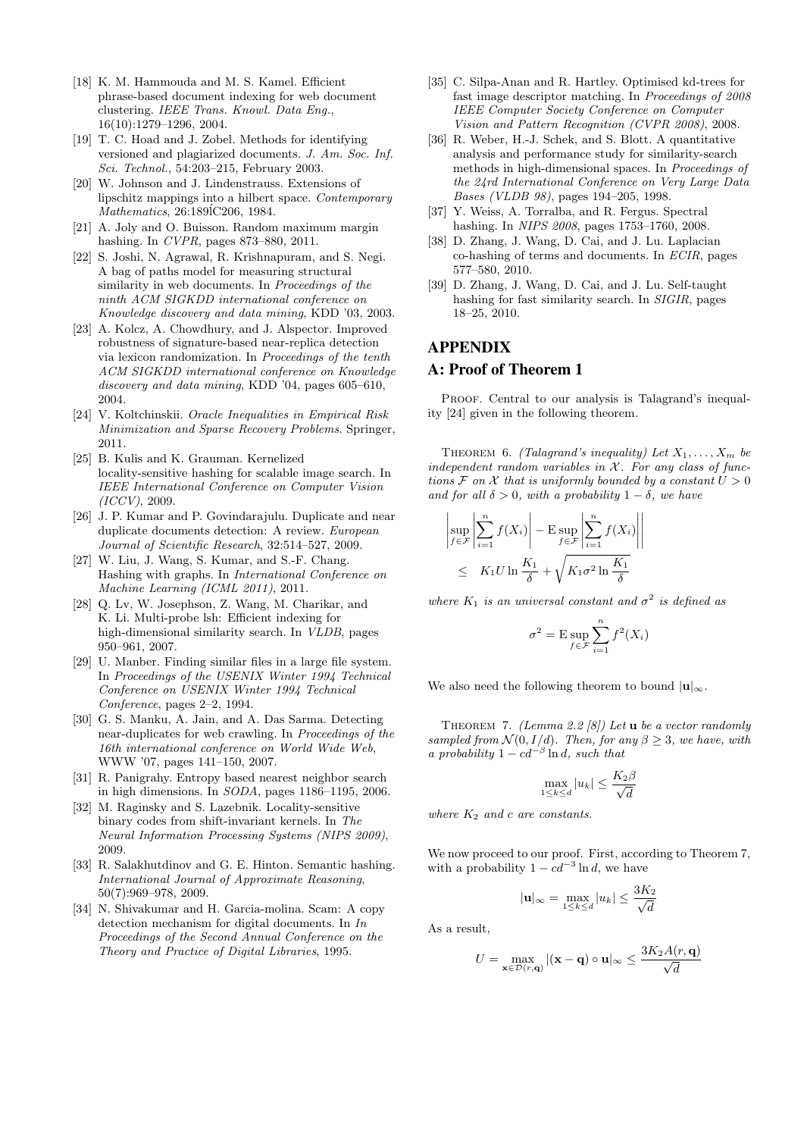- [18] K. M. Hammouda and M. S. Kamel. Efficient phrase-based document indexing for web document clustering. *IEEE Trans. Knowl. Data Eng.*, 16(10):1279–1296, 2004.
- [19] T. C. Hoad and J. Zobel. Methods for identifying versioned and plagiarized documents. *J. Am. Soc. Inf. Sci. Technol.*, 54:203–215, February 2003.
- [20] W. Johnson and J. Lindenstrauss. Extensions of lipschitz mappings into a hilbert space. *Contemporary Mathematics*, 26:1891C206, 1984.
- [21] A. Joly and O. Buisson. Random maximum margin hashing. In *CVPR*, pages 873–880, 2011.
- [22] S. Joshi, N. Agrawal, R. Krishnapuram, and S. Negi. A bag of paths model for measuring structural similarity in web documents. In *Proceedings of the ninth ACM SIGKDD international conference on Knowledge discovery and data mining*, KDD '03, 2003.
- [23] A. Kolcz, A. Chowdhury, and J. Alspector. Improved robustness of signature-based near-replica detection via lexicon randomization. In *Proceedings of the tenth ACM SIGKDD international conference on Knowledge discovery and data mining*, KDD '04, pages 605–610, 2004.
- [24] V. Koltchinskii. *Oracle Inequalities in Empirical Risk Minimization and Sparse Recovery Problems*. Springer, 2011.
- [25] B. Kulis and K. Grauman. Kernelized locality-sensitive hashing for scalable image search. In *IEEE International Conference on Computer Vision (ICCV)*, 2009.
- [26] J. P. Kumar and P. Govindarajulu. Duplicate and near duplicate documents detection: A review. *European Journal of Scientific Research*, 32:514–527, 2009.
- [27] W. Liu, J. Wang, S. Kumar, and S.-F. Chang. Hashing with graphs. In *International Conference on Machine Learning (ICML 2011)*, 2011.
- [28] Q. Lv, W. Josephson, Z. Wang, M. Charikar, and K. Li. Multi-probe lsh: Efficient indexing for high-dimensional similarity search. In *VLDB*, pages 950–961, 2007.
- [29] U. Manber. Finding similar files in a large file system. In *Proceedings of the USENIX Winter 1994 Technical Conference on USENIX Winter 1994 Technical Conference*, pages 2–2, 1994.
- [30] G. S. Manku, A. Jain, and A. Das Sarma. Detecting near-duplicates for web crawling. In *Proceedings of the 16th international conference on World Wide Web*, WWW '07, pages 141–150, 2007.
- [31] R. Panigrahy. Entropy based nearest neighbor search in high dimensions. In *SODA*, pages 1186–1195, 2006.
- [32] M. Raginsky and S. Lazebnik. Locality-sensitive binary codes from shift-invariant kernels. In *The Neural Information Processing Systems (NIPS 2009)*, 2009.
- [33] R. Salakhutdinov and G. E. Hinton. Semantic hashing. *International Journal of Approximate Reasoning*, 50(7):969–978, 2009.
- [34] N. Shivakumar and H. Garcia-molina. Scam: A copy detection mechanism for digital documents. In *In Proceedings of the Second Annual Conference on the Theory and Practice of Digital Libraries*, 1995.
- [35] C. Silpa-Anan and R. Hartley. Optimised kd-trees for fast image descriptor matching. In *Proceedings of 2008 IEEE Computer Society Conference on Computer Vision and Pattern Recognition (CVPR 2008)*, 2008.
- [36] R. Weber, H.-J. Schek, and S. Blott. A quantitative analysis and performance study for similarity-search methods in high-dimensional spaces. In *Proceedings of the 24rd International Conference on Very Large Data Bases (VLDB 98)*, pages 194–205, 1998.
- [37] Y. Weiss, A. Torralba, and R. Fergus. Spectral hashing. In *NIPS 2008*, pages 1753–1760, 2008.
- [38] D. Zhang, J. Wang, D. Cai, and J. Lu. Laplacian co-hashing of terms and documents. In *ECIR*, pages 577–580, 2010.
- [39] D. Zhang, J. Wang, D. Cai, and J. Lu. Self-taught hashing for fast similarity search. In *SIGIR*, pages 18–25, 2010.

### APPENDIX

#### A: Proof of Theorem 1

PROOF. Central to our analysis is Talagrand's inequality [24] given in the following theorem.

THEOREM 6. *(Talagrand's inequality) Let*  $X_1, \ldots, X_m$  *be independent random variables in X . For any class of functions*  $\mathcal F$  *on*  $\mathcal X$  *that is uniformly bounded by a constant*  $U > 0$ *and for all*  $\delta > 0$ *, with a probability*  $1 - \delta$ *, we have* 

$$
\left| \sup_{f \in \mathcal{F}} \left| \sum_{i=1}^{n} f(X_i) \right| - \mathcal{E} \sup_{f \in \mathcal{F}} \left| \sum_{i=1}^{n} f(X_i) \right| \right|
$$
  
 
$$
\leq K_1 U \ln \frac{K_1}{\delta} + \sqrt{K_1 \sigma^2 \ln \frac{K_1}{\delta}}
$$

*where*  $K_1$  *is an universal constant and*  $\sigma^2$  *is defined as* 

$$
\sigma^2 = \mathrm{E} \sup_{f \in \mathcal{F}} \sum_{i=1}^n f^2(X_i)
$$

We also need the following theorem to bound  $|\mathbf{u}|_{\infty}$ .

Theorem 7. *(Lemma 2.2 [8]) Let* **u** *be a vector randomly sampled from*  $N(0, I/d)$ *. Then, for any*  $\beta \geq 3$ *, we have, with a probability*  $1 - cd^{-\beta} \ln d$ *, such that* 

$$
\max_{1 \le k \le d} |u_k| \le \frac{K_2 \beta}{\sqrt{d}}
$$

*where K*<sup>2</sup> *and c are constants.*

We now proceed to our proof. First, according to Theorem 7, with a probability  $1 - cd^{-3} \ln d$ , we have

$$
|\mathbf{u}|_{\infty} = \max_{1 \le k \le d} |u_k| \le \frac{3K_2}{\sqrt{d}}
$$

As a result,

$$
U = \max_{\mathbf{x} \in \mathcal{D}(r, \mathbf{q})} |(\mathbf{x} - \mathbf{q}) \circ \mathbf{u}|_{\infty} \le \frac{3K_2 A(r, \mathbf{q})}{\sqrt{d}}
$$